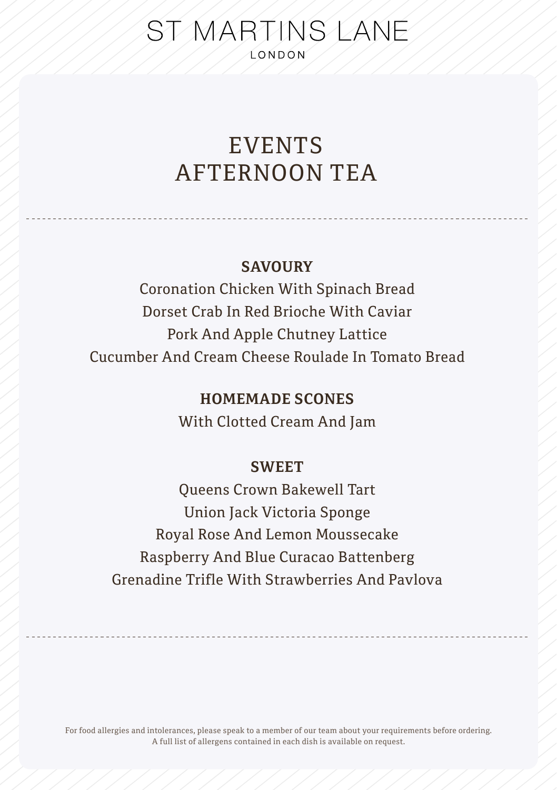# ST MARTINS LANE **LONDON**

# EVENTS AFTERNOON TEA

### **SAVOURY**

Coronation Chicken With Spinach Bread Dorset Crab In Red Brioche With Caviar Pork And Apple Chutney Lattice Cucumber And Cream Cheese Roulade In Tomato Bread

## **HOMEMADE SCONES**

With Clotted Cream And Jam

### **SWEET**

Queens Crown Bakewell Tart Union Jack Victoria Sponge Royal Rose And Lemon Moussecake Raspberry And Blue Curacao Battenberg Grenadine Trifle With Strawberries And Pavlova

For food allergies and intolerances, please speak to a member of our team about your requirements before ordering. A full list of allergens contained in each dish is available on request.